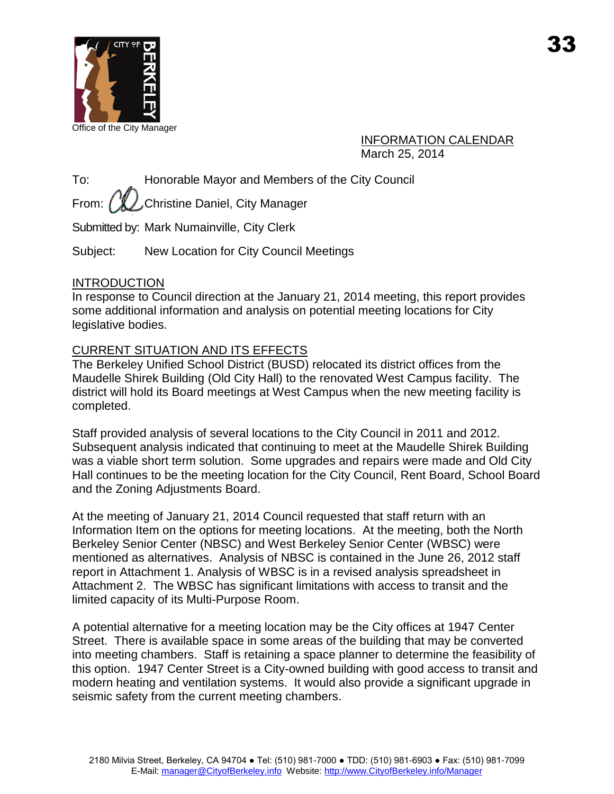

Office of the City Manager

# INFORMATION CALENDAR March 25, 2014

To: Honorable Mayor and Members of the City Council

From:  $\ell \mathcal{L}$  Christine Daniel, City Manager

Submitted by: Mark Numainville, City Clerk

Subject: New Location for City Council Meetings

# **INTRODUCTION**

In response to Council direction at the January 21, 2014 meeting, this report provides some additional information and analysis on potential meeting locations for City legislative bodies.

# CURRENT SITUATION AND ITS EFFECTS

The Berkeley Unified School District (BUSD) relocated its district offices from the Maudelle Shirek Building (Old City Hall) to the renovated West Campus facility. The district will hold its Board meetings at West Campus when the new meeting facility is completed.

Staff provided analysis of several locations to the City Council in 2011 and 2012. Subsequent analysis indicated that continuing to meet at the Maudelle Shirek Building was a viable short term solution. Some upgrades and repairs were made and Old City Hall continues to be the meeting location for the City Council, Rent Board, School Board and the Zoning Adjustments Board.

At the meeting of January 21, 2014 Council requested that staff return with an Information Item on the options for meeting locations. At the meeting, both the North Berkeley Senior Center (NBSC) and West Berkeley Senior Center (WBSC) were mentioned as alternatives. Analysis of NBSC is contained in the June 26, 2012 staff report in Attachment 1. Analysis of WBSC is in a revised analysis spreadsheet in Attachment 2. The WBSC has significant limitations with access to transit and the limited capacity of its Multi-Purpose Room.

A potential alternative for a meeting location may be the City offices at 1947 Center Street. There is available space in some areas of the building that may be converted into meeting chambers. Staff is retaining a space planner to determine the feasibility of this option. 1947 Center Street is a City-owned building with good access to transit and modern heating and ventilation systems. It would also provide a significant upgrade in seismic safety from the current meeting chambers.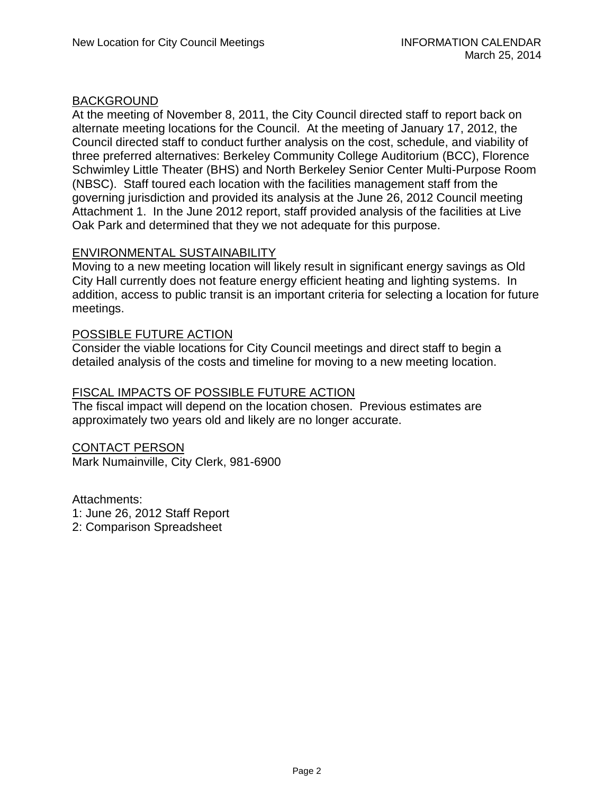### BACKGROUND

At the meeting of November 8, 2011, the City Council directed staff to report back on alternate meeting locations for the Council. At the meeting of January 17, 2012, the Council directed staff to conduct further analysis on the cost, schedule, and viability of three preferred alternatives: Berkeley Community College Auditorium (BCC), Florence Schwimley Little Theater (BHS) and North Berkeley Senior Center Multi-Purpose Room (NBSC). Staff toured each location with the facilities management staff from the governing jurisdiction and provided its analysis at the June 26, 2012 Council meeting Attachment 1. In the June 2012 report, staff provided analysis of the facilities at Live Oak Park and determined that they we not adequate for this purpose.

### ENVIRONMENTAL SUSTAINABILITY

Moving to a new meeting location will likely result in significant energy savings as Old City Hall currently does not feature energy efficient heating and lighting systems. In addition, access to public transit is an important criteria for selecting a location for future meetings.

### POSSIBLE FUTURE ACTION

Consider the viable locations for City Council meetings and direct staff to begin a detailed analysis of the costs and timeline for moving to a new meeting location.

# FISCAL IMPACTS OF POSSIBLE FUTURE ACTION

The fiscal impact will depend on the location chosen. Previous estimates are approximately two years old and likely are no longer accurate.

### CONTACT PERSON

Mark Numainville, City Clerk, 981-6900

Attachments:

- 1: June 26, 2012 Staff Report
- 2: Comparison Spreadsheet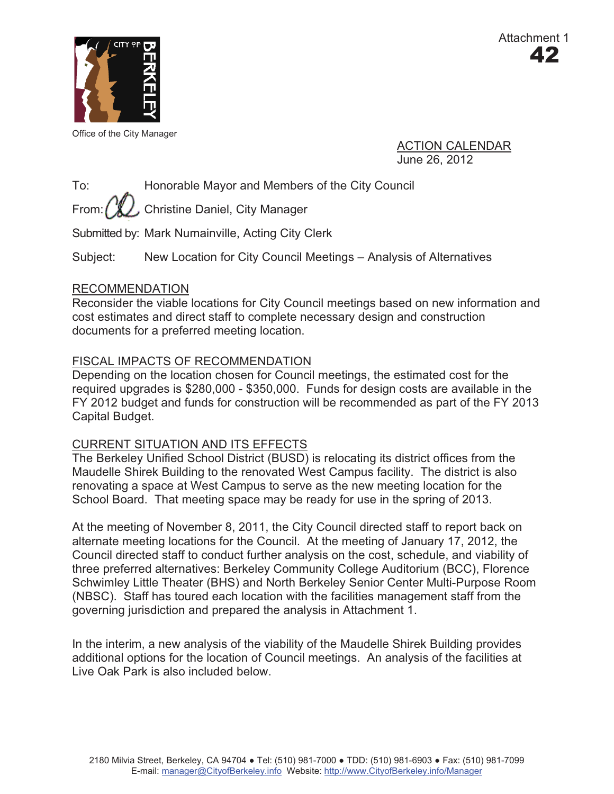

Office of the City Manager

ACTION CALENDAR June 26, 2012

To: Honorable Mayor and Members of the City Council

From:  $\left(\sqrt[n]{\frac{1}{2}}\right)$ , Christine Daniel, City Manager

Submitted by: Mark Numainville, Acting City Clerk

Subject: New Location for City Council Meetings – Analysis of Alternatives

### RECOMMENDATION

Reconsider the viable locations for City Council meetings based on new information and cost estimates and direct staff to complete necessary design and construction documents for a preferred meeting location.

# FISCAL IMPACTS OF RECOMMENDATION

Depending on the location chosen for Council meetings, the estimated cost for the required upgrades is \$280,000 - \$350,000. Funds for design costs are available in the FY 2012 budget and funds for construction will be recommended as part of the FY 2013 Capital Budget.

### CURRENT SITUATION AND ITS EFFECTS

The Berkeley Unified School District (BUSD) is relocating its district offices from the Maudelle Shirek Building to the renovated West Campus facility. The district is also renovating a space at West Campus to serve as the new meeting location for the School Board. That meeting space may be ready for use in the spring of 2013.

At the meeting of November 8, 2011, the City Council directed staff to report back on alternate meeting locations for the Council. At the meeting of January 17, 2012, the Council directed staff to conduct further analysis on the cost, schedule, and viability of three preferred alternatives: Berkeley Community College Auditorium (BCC), Florence Schwimley Little Theater (BHS) and North Berkeley Senior Center Multi-Purpose Room (NBSC). Staff has toured each location with the facilities management staff from the governing jurisdiction and prepared the analysis in Attachment 1.

In the interim, a new analysis of the viability of the Maudelle Shirek Building provides additional options for the location of Council meetings. An analysis of the facilities at Live Oak Park is also included below.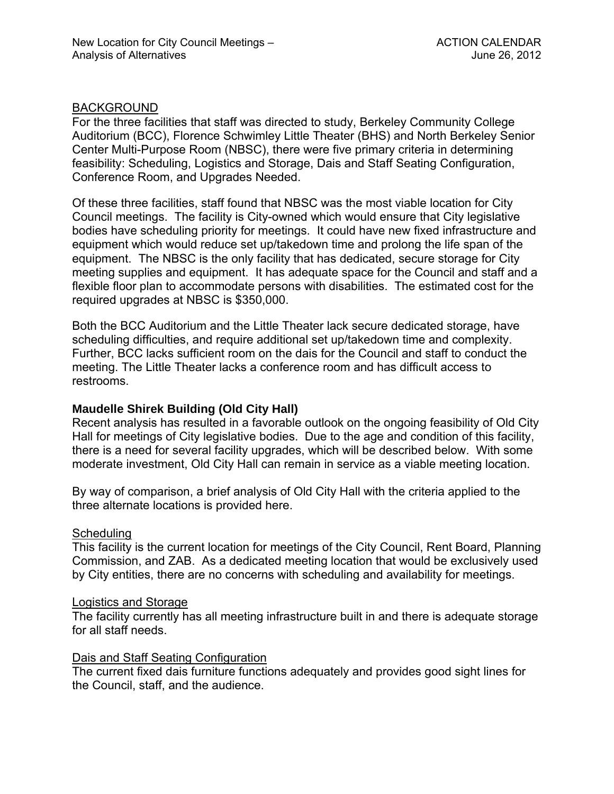#### **BACKGROUND**

For the three facilities that staff was directed to study, Berkeley Community College Auditorium (BCC), Florence Schwimley Little Theater (BHS) and North Berkeley Senior Center Multi-Purpose Room (NBSC), there were five primary criteria in determining feasibility: Scheduling, Logistics and Storage, Dais and Staff Seating Configuration, Conference Room, and Upgrades Needed.

Of these three facilities, staff found that NBSC was the most viable location for City Council meetings. The facility is City-owned which would ensure that City legislative bodies have scheduling priority for meetings. It could have new fixed infrastructure and equipment which would reduce set up/takedown time and prolong the life span of the equipment. The NBSC is the only facility that has dedicated, secure storage for City meeting supplies and equipment. It has adequate space for the Council and staff and a flexible floor plan to accommodate persons with disabilities. The estimated cost for the required upgrades at NBSC is \$350,000.

Both the BCC Auditorium and the Little Theater lack secure dedicated storage, have scheduling difficulties, and require additional set up/takedown time and complexity. Further, BCC lacks sufficient room on the dais for the Council and staff to conduct the meeting. The Little Theater lacks a conference room and has difficult access to restrooms.

### **Maudelle Shirek Building (Old City Hall)**

Recent analysis has resulted in a favorable outlook on the ongoing feasibility of Old City Hall for meetings of City legislative bodies. Due to the age and condition of this facility, there is a need for several facility upgrades, which will be described below. With some moderate investment, Old City Hall can remain in service as a viable meeting location.

By way of comparison, a brief analysis of Old City Hall with the criteria applied to the three alternate locations is provided here.

#### **Scheduling**

This facility is the current location for meetings of the City Council, Rent Board, Planning Commission, and ZAB. As a dedicated meeting location that would be exclusively used by City entities, there are no concerns with scheduling and availability for meetings.

#### Logistics and Storage

The facility currently has all meeting infrastructure built in and there is adequate storage for all staff needs.

#### Dais and Staff Seating Configuration

The current fixed dais furniture functions adequately and provides good sight lines for the Council, staff, and the audience.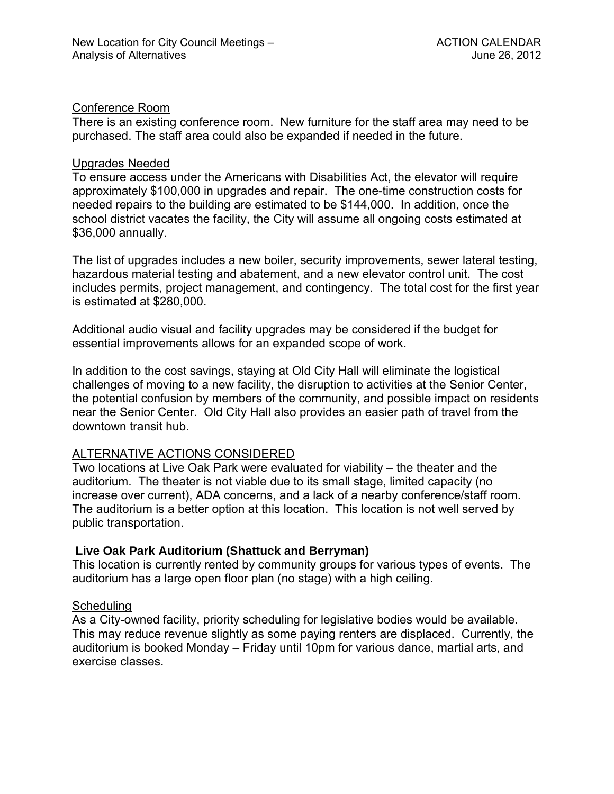### Conference Room

There is an existing conference room. New furniture for the staff area may need to be purchased. The staff area could also be expanded if needed in the future.

#### Upgrades Needed

To ensure access under the Americans with Disabilities Act, the elevator will require approximately \$100,000 in upgrades and repair. The one-time construction costs for needed repairs to the building are estimated to be \$144,000. In addition, once the school district vacates the facility, the City will assume all ongoing costs estimated at \$36,000 annually.

The list of upgrades includes a new boiler, security improvements, sewer lateral testing, hazardous material testing and abatement, and a new elevator control unit. The cost includes permits, project management, and contingency. The total cost for the first year is estimated at \$280,000.

Additional audio visual and facility upgrades may be considered if the budget for essential improvements allows for an expanded scope of work.

In addition to the cost savings, staying at Old City Hall will eliminate the logistical challenges of moving to a new facility, the disruption to activities at the Senior Center, the potential confusion by members of the community, and possible impact on residents near the Senior Center. Old City Hall also provides an easier path of travel from the downtown transit hub.

### ALTERNATIVE ACTIONS CONSIDERED

Two locations at Live Oak Park were evaluated for viability – the theater and the auditorium. The theater is not viable due to its small stage, limited capacity (no increase over current), ADA concerns, and a lack of a nearby conference/staff room. The auditorium is a better option at this location. This location is not well served by public transportation.

#### **Live Oak Park Auditorium (Shattuck and Berryman)**

This location is currently rented by community groups for various types of events. The auditorium has a large open floor plan (no stage) with a high ceiling.

#### **Scheduling**

As a City-owned facility, priority scheduling for legislative bodies would be available. This may reduce revenue slightly as some paying renters are displaced. Currently, the auditorium is booked Monday – Friday until 10pm for various dance, martial arts, and exercise classes.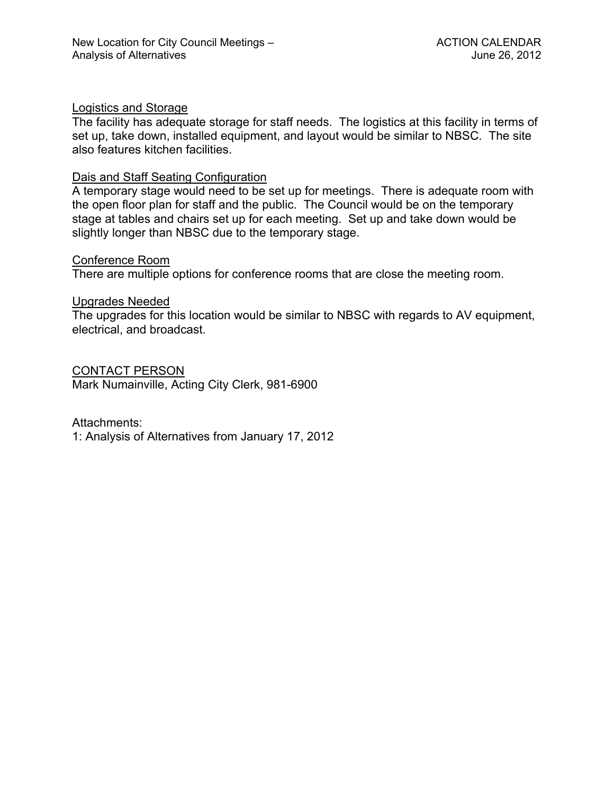### Logistics and Storage

The facility has adequate storage for staff needs. The logistics at this facility in terms of set up, take down, installed equipment, and layout would be similar to NBSC. The site also features kitchen facilities.

### Dais and Staff Seating Configuration

A temporary stage would need to be set up for meetings. There is adequate room with the open floor plan for staff and the public. The Council would be on the temporary stage at tables and chairs set up for each meeting. Set up and take down would be slightly longer than NBSC due to the temporary stage.

#### Conference Room

There are multiple options for conference rooms that are close the meeting room.

### Upgrades Needed

The upgrades for this location would be similar to NBSC with regards to AV equipment, electrical, and broadcast.

CONTACT PERSON Mark Numainville, Acting City Clerk, 981-6900

Attachments:

1: Analysis of Alternatives from January 17, 2012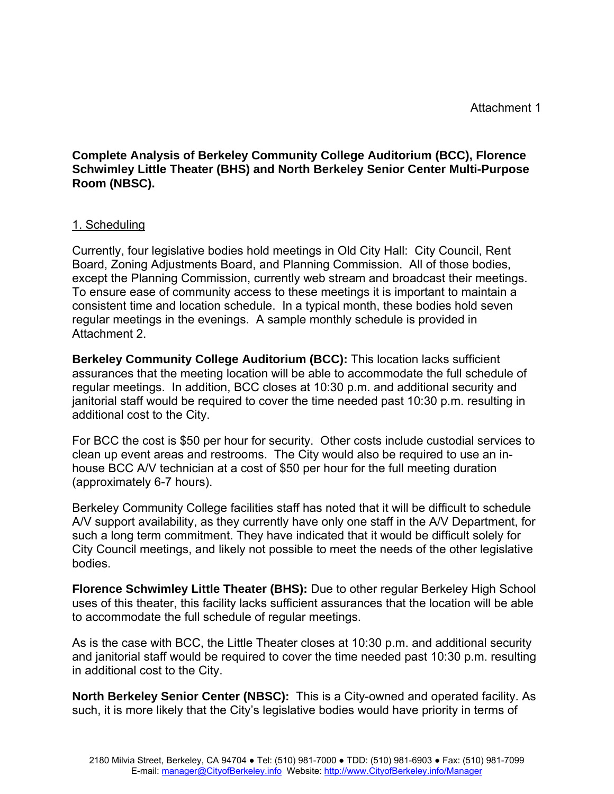**Complete Analysis of Berkeley Community College Auditorium (BCC), Florence Schwimley Little Theater (BHS) and North Berkeley Senior Center Multi-Purpose Room (NBSC).** 

### 1. Scheduling

Currently, four legislative bodies hold meetings in Old City Hall: City Council, Rent Board, Zoning Adjustments Board, and Planning Commission. All of those bodies, except the Planning Commission, currently web stream and broadcast their meetings. To ensure ease of community access to these meetings it is important to maintain a consistent time and location schedule. In a typical month, these bodies hold seven regular meetings in the evenings. A sample monthly schedule is provided in Attachment 2.

**Berkeley Community College Auditorium (BCC):** This location lacks sufficient assurances that the meeting location will be able to accommodate the full schedule of regular meetings. In addition, BCC closes at 10:30 p.m. and additional security and janitorial staff would be required to cover the time needed past 10:30 p.m. resulting in additional cost to the City.

For BCC the cost is \$50 per hour for security. Other costs include custodial services to clean up event areas and restrooms. The City would also be required to use an inhouse BCC A/V technician at a cost of \$50 per hour for the full meeting duration (approximately 6-7 hours).

Berkeley Community College facilities staff has noted that it will be difficult to schedule A/V support availability, as they currently have only one staff in the A/V Department, for such a long term commitment. They have indicated that it would be difficult solely for City Council meetings, and likely not possible to meet the needs of the other legislative bodies.

**Florence Schwimley Little Theater (BHS):** Due to other regular Berkeley High School uses of this theater, this facility lacks sufficient assurances that the location will be able to accommodate the full schedule of regular meetings.

As is the case with BCC, the Little Theater closes at 10:30 p.m. and additional security and janitorial staff would be required to cover the time needed past 10:30 p.m. resulting in additional cost to the City.

**North Berkeley Senior Center (NBSC):** This is a City-owned and operated facility. As such, it is more likely that the City's legislative bodies would have priority in terms of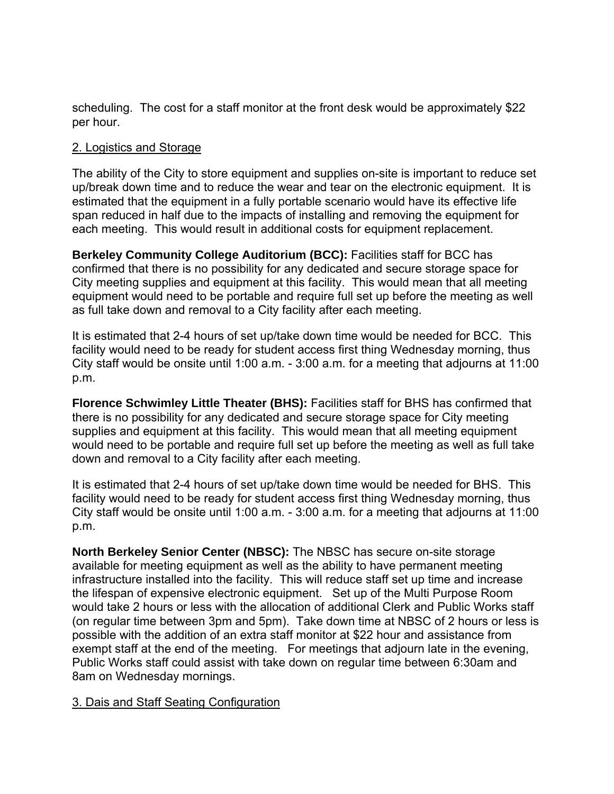scheduling. The cost for a staff monitor at the front desk would be approximately \$22 per hour.

# 2. Logistics and Storage

The ability of the City to store equipment and supplies on-site is important to reduce set up/break down time and to reduce the wear and tear on the electronic equipment. It is estimated that the equipment in a fully portable scenario would have its effective life span reduced in half due to the impacts of installing and removing the equipment for each meeting. This would result in additional costs for equipment replacement.

**Berkeley Community College Auditorium (BCC):** Facilities staff for BCC has confirmed that there is no possibility for any dedicated and secure storage space for City meeting supplies and equipment at this facility. This would mean that all meeting equipment would need to be portable and require full set up before the meeting as well as full take down and removal to a City facility after each meeting.

It is estimated that 2-4 hours of set up/take down time would be needed for BCC. This facility would need to be ready for student access first thing Wednesday morning, thus City staff would be onsite until 1:00 a.m. - 3:00 a.m. for a meeting that adjourns at 11:00 p.m.

**Florence Schwimley Little Theater (BHS):** Facilities staff for BHS has confirmed that there is no possibility for any dedicated and secure storage space for City meeting supplies and equipment at this facility. This would mean that all meeting equipment would need to be portable and require full set up before the meeting as well as full take down and removal to a City facility after each meeting.

It is estimated that 2-4 hours of set up/take down time would be needed for BHS. This facility would need to be ready for student access first thing Wednesday morning, thus City staff would be onsite until 1:00 a.m. - 3:00 a.m. for a meeting that adjourns at 11:00 p.m.

**North Berkeley Senior Center (NBSC):** The NBSC has secure on-site storage available for meeting equipment as well as the ability to have permanent meeting infrastructure installed into the facility. This will reduce staff set up time and increase the lifespan of expensive electronic equipment. Set up of the Multi Purpose Room would take 2 hours or less with the allocation of additional Clerk and Public Works staff (on regular time between 3pm and 5pm). Take down time at NBSC of 2 hours or less is possible with the addition of an extra staff monitor at \$22 hour and assistance from exempt staff at the end of the meeting. For meetings that adjourn late in the evening, Public Works staff could assist with take down on regular time between 6:30am and 8am on Wednesday mornings.

### 3. Dais and Staff Seating Configuration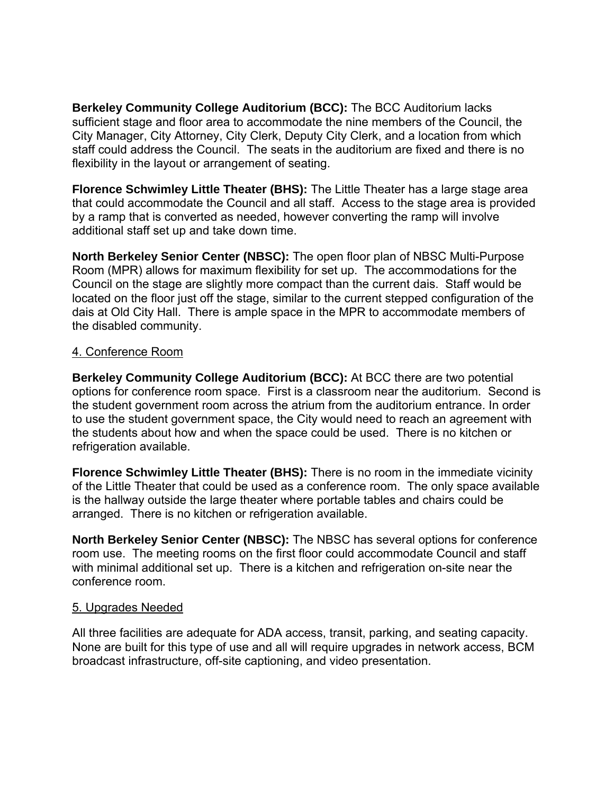**Berkeley Community College Auditorium (BCC):** The BCC Auditorium lacks sufficient stage and floor area to accommodate the nine members of the Council, the City Manager, City Attorney, City Clerk, Deputy City Clerk, and a location from which staff could address the Council. The seats in the auditorium are fixed and there is no flexibility in the layout or arrangement of seating.

**Florence Schwimley Little Theater (BHS):** The Little Theater has a large stage area that could accommodate the Council and all staff. Access to the stage area is provided by a ramp that is converted as needed, however converting the ramp will involve additional staff set up and take down time.

**North Berkeley Senior Center (NBSC):** The open floor plan of NBSC Multi-Purpose Room (MPR) allows for maximum flexibility for set up. The accommodations for the Council on the stage are slightly more compact than the current dais. Staff would be located on the floor just off the stage, similar to the current stepped configuration of the dais at Old City Hall. There is ample space in the MPR to accommodate members of the disabled community.

# 4. Conference Room

**Berkeley Community College Auditorium (BCC):** At BCC there are two potential options for conference room space. First is a classroom near the auditorium. Second is the student government room across the atrium from the auditorium entrance. In order to use the student government space, the City would need to reach an agreement with the students about how and when the space could be used. There is no kitchen or refrigeration available.

**Florence Schwimley Little Theater (BHS):** There is no room in the immediate vicinity of the Little Theater that could be used as a conference room. The only space available is the hallway outside the large theater where portable tables and chairs could be arranged. There is no kitchen or refrigeration available.

**North Berkeley Senior Center (NBSC):** The NBSC has several options for conference room use. The meeting rooms on the first floor could accommodate Council and staff with minimal additional set up. There is a kitchen and refrigeration on-site near the conference room.

#### 5. Upgrades Needed

All three facilities are adequate for ADA access, transit, parking, and seating capacity. None are built for this type of use and all will require upgrades in network access, BCM broadcast infrastructure, off-site captioning, and video presentation.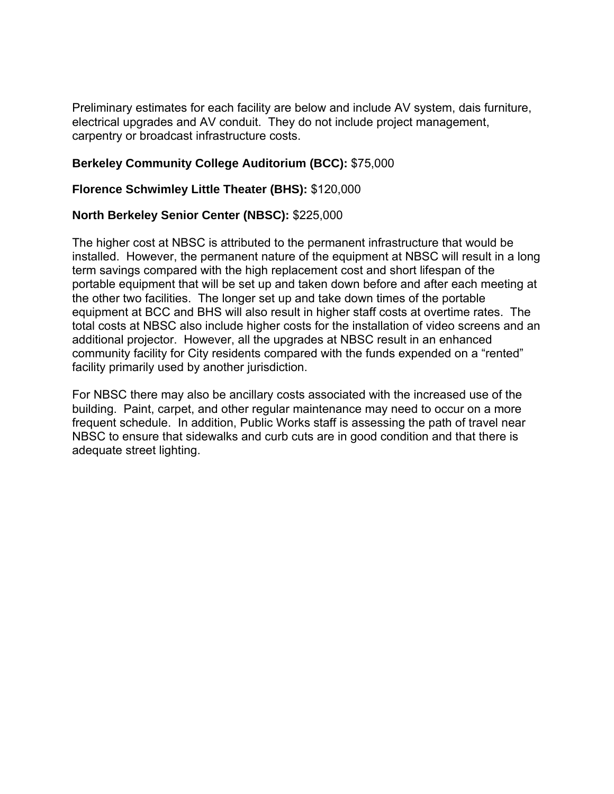Preliminary estimates for each facility are below and include AV system, dais furniture, electrical upgrades and AV conduit. They do not include project management, carpentry or broadcast infrastructure costs.

# **Berkeley Community College Auditorium (BCC):** \$75,000

### **Florence Schwimley Little Theater (BHS):** \$120,000

### **North Berkeley Senior Center (NBSC):** \$225,000

The higher cost at NBSC is attributed to the permanent infrastructure that would be installed. However, the permanent nature of the equipment at NBSC will result in a long term savings compared with the high replacement cost and short lifespan of the portable equipment that will be set up and taken down before and after each meeting at the other two facilities. The longer set up and take down times of the portable equipment at BCC and BHS will also result in higher staff costs at overtime rates. The total costs at NBSC also include higher costs for the installation of video screens and an additional projector. However, all the upgrades at NBSC result in an enhanced community facility for City residents compared with the funds expended on a "rented" facility primarily used by another jurisdiction.

For NBSC there may also be ancillary costs associated with the increased use of the building. Paint, carpet, and other regular maintenance may need to occur on a more frequent schedule. In addition, Public Works staff is assessing the path of travel near NBSC to ensure that sidewalks and curb cuts are in good condition and that there is adequate street lighting.